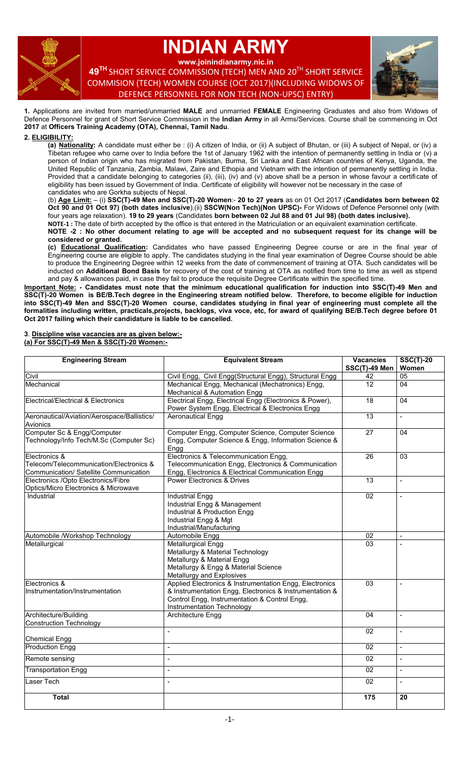

# **INDIAN ARMY**

**www.joinindianarmy.nic.in**

**49 TH** SHORT SERVICE COMMISSION (TECH) MEN AND 20TH SHORT SERVICE COMMISION (TECH) WOMEN COURSE (OCT 2017)(INCLUDING WIDOWS OF DEFENCE PERSONNEL FOR NON TECH (NON-UPSC) ENTRY)



**1.** Applications are invited from married/unmarried **MALE** and unmarried **FEMALE** Engineering Graduates and also from Widows of Defence Personnel for grant of Short Service Commission in the **Indian Army** in all Arms/Services. Course shall be commencing in Oct **2017** at **Officers Training Academy (OTA), Chennai, Tamil Nadu**.

# **2. ELIGIBILITY:**

**(a) Nationality:** A candidate must either be : (i) A citizen of India, or (ii) A subject of Bhutan, or (iii) A subject of Nepal, or (iv) a Tibetan refugee who came over to India before the 1st of January 1962 with the intention of permanently settling in India or (v) a person of Indian origin who has migrated from Pakistan, Burma, Sri Lanka and East African countries of Kenya, Uganda, the United Republic of Tanzania, Zambia, Malawi, Zaire and Ethopia and Vietnam with the intention of permanently settling in India. Provided that a candidate belonging to categories (ii), (iii), (iv) and (v) above shall be a person in whose favour a certificate of eligibility has been issued by Government of India. Certificate of eligibility will however not be necessary in the case of candidates who are Gorkha subjects of Nepal.

(b) **Age Limit:** – (i) **SSC(T)-49 Men and SSC(T)-20 Women**:- **20 to 27 years** as on 01 Oct 2017 (**Candidates born between 02 Oct 90 and 01 Oct 97) (both dates inclusive**).(ii) **SSCW(Non Tech)(Non UPSC)-** For Widows of Defence Personnel only (with four years age relaxation). **19 to 29 years** (Candidates **born between 02 Jul 88 and 01 Jul 98) (both dates inclusive).**

**NOTE-1 :** The date of birth accepted by the office is that entered in the Matriculation or an equivalent examination certificate.

**NOTE -2 : No other document relating to age will be accepted and no subsequent request for its change will be considered or granted.**

**(c) Educational Qualification:** Candidates who have passed Engineering Degree course or are in the final year of Engineering course are eligible to apply. The candidates studying in the final year examination of Degree Course should be able to produce the Engineering Degree within 12 weeks from the date of commencement of training at OTA. Such candidates will be inducted on **Additional Bond Basis** for recovery of the cost of training at OTA as notified from time to time as well as stipend and pay & allowances paid, in case they fail to produce the requisite Degree Certificate within the specified time.

**Important Note: - Candidates must note that the minimum educational qualification for induction into SSC(T)-49 Men and SSC(T)-20 Women is BE/B.Tech degree in the Engineering stream notified below. Therefore, to become eligible for induction into SSC(T)-49 Men and SSC(T)-20 Women course, candidates studying in final year of engineering must complete all the formalities including written, practicals,projects, backlogs, viva voce, etc, for award of qualifying BE/B.Tech degree before 01 Oct 2017 failing which their candidature is liable to be cancelled.**

#### **3**. **Discipline wise vacancies are as given below:- (a) For SSC(T)-49 Men & SSC(T)-20 Women:-**

| <b>Engineering Stream</b>                                                                          | <b>Equivalent Stream</b>                                                                                                                                                                          | <b>Vacancies</b><br>SSC(T)-49 Men | <b>SSC(T)-20</b><br>Women |
|----------------------------------------------------------------------------------------------------|---------------------------------------------------------------------------------------------------------------------------------------------------------------------------------------------------|-----------------------------------|---------------------------|
| Civil                                                                                              | Civil Engg, Civil Engg(Structural Engg), Structural Engg                                                                                                                                          | 42                                | 05                        |
| Mechanical                                                                                         | Mechanical Engg, Mechanical (Mechatronics) Engg,<br>Mechanical & Automation Engg                                                                                                                  | $\overline{12}$                   | 04                        |
| Electrical/Electrical & Electronics                                                                | Electrical Engg, Electrical Engg (Electronics & Power),<br>Power System Engg, Electrical & Electronics Engg                                                                                       | 18                                | 04                        |
| Aeronautical/Aviation/Aerospace/Ballistics/<br>Avionics                                            | <b>Aeronautical Engg</b>                                                                                                                                                                          | 13                                |                           |
| Computer Sc & Engg/Computer<br>Technology/Info Tech/M.Sc (Computer Sc)                             | Computer Engg, Computer Science, Computer Science<br>Engg, Computer Science & Engg, Information Science &<br>Engg                                                                                 | $\overline{27}$                   | 04                        |
| Electronics &<br>Telecom/Telecommunication/Electronics &<br>Communication/ Satellite Communication | Electronics & Telecommunication Engg,<br>Telecommunication Engg, Electronics & Communication<br>Engg, Electronics & Electrical Communication Engg                                                 | 26                                | 03                        |
| Electronics /Opto Electronics/Fibre<br>Optics/Micro Electronics & Microwave                        | <b>Power Electronics &amp; Drives</b>                                                                                                                                                             | 13                                | $\mathbb{L}$              |
| Industrial                                                                                         | <b>Industrial Engg</b><br>Industrial Engg & Management<br>Industrial & Production Engg<br>Industrial Engg & Mgt<br>Industrial/Manufacturing                                                       | $\overline{02}$                   |                           |
| Automobile /Workshop Technology                                                                    | Automobile Engg                                                                                                                                                                                   | 02                                | $\sim$                    |
| Metallurgical                                                                                      | <b>Metallurgical Engg</b><br>Metallurgy & Material Technology<br>Metallurgy & Material Engg<br>Metallurgy & Engg & Material Science<br>Metallurgy and Explosives                                  | 03                                |                           |
| Electronics &<br>Instrumentation/Instrumentation                                                   | Applied Electronics & Instrumentation Engg, Electronics<br>& Instrumentation Engg, Electronics & Instrumentation &<br>Control Engg, Instrumentation & Control Engg,<br>Instrumentation Technology | 03                                |                           |
| Architecture/Building<br><b>Construction Technology</b>                                            | <b>Architecture Engg</b>                                                                                                                                                                          | 04                                | $\blacksquare$            |
| <b>Chemical Engg</b>                                                                               | $\overline{\phantom{a}}$                                                                                                                                                                          | 02                                | $\sim$                    |
| <b>Production Engg</b>                                                                             | $\overline{a}$                                                                                                                                                                                    | 02                                | $\blacksquare$            |
| Remote sensing                                                                                     | $\blacksquare$                                                                                                                                                                                    | 02                                | $\blacksquare$            |
| <b>Transportation Engg</b>                                                                         | $\blacksquare$                                                                                                                                                                                    | 02                                | $\blacksquare$            |
| Laser Tech                                                                                         | $\blacksquare$                                                                                                                                                                                    | 02                                |                           |
| <b>Total</b>                                                                                       |                                                                                                                                                                                                   | 175                               | 20                        |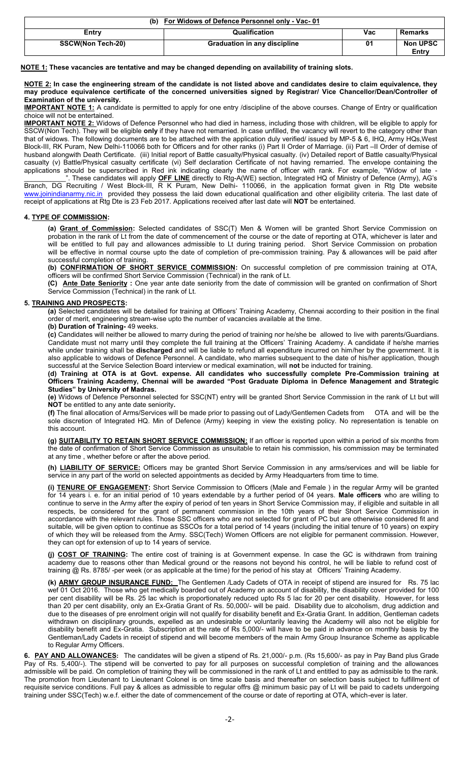| (b) For Widows of Defence Personnel only - Vac-01 |                                     |     |                          |  |  |  |
|---------------------------------------------------|-------------------------------------|-----|--------------------------|--|--|--|
| Entrv                                             | <b>Qualification</b>                | Vac | Remarks                  |  |  |  |
| <b>SSCW(Non Tech-20)</b>                          | <b>Graduation in any discipline</b> | 01  | <b>Non UPSC</b><br>Entry |  |  |  |

**NOTE 1: These vacancies are tentative and may be changed depending on availability of training slots.**

**NOTE 2: In case the engineering stream of the candidate is not listed above and candidates desire to claim equivalence, they may produce equivalence certificate of the concerned universities signed by Registrar/ Vice Chancellor/Dean/Controller of Examination of the university.**

**IMPORTANT NOTE 1:** A candidate is permitted to apply for one entry /discipline of the above courses. Change of Entry or qualification choice will not be entertained.

**IMPORTANT NOTE 2:** Widows of Defence Personnel who had died in harness, including those with children, will be eligible to apply for SSCW(Non Tech). They will be eligible **only** if they have not remarried. In case unfilled, the vacancy will revert to the category other than that of widows. The following documents are to be attached with the application duly verified/ issued by MP-5 & 6, IHQ, Army HQs,West Block-III, RK Puram, New Delhi-110066 both for Officers and for other ranks (i) Part II Order of Marriage. (ii) Part –II Order of demise of husband alongwith Death Certificate. (iii) Initial report of Battle casualty/Physical casualty. (iv) Detailed report of Battle casualty/Physical casualty (v) Battle/Physical casualty certificate (vi) Self declaration Certificate of not having remarried. The envelope containing the applications should be superscribed in Red ink indicating clearly the name of officer with rank. For example, "Widow of late - These candidates will apply **OFF LINE** directly to Rtg-A(WE) section, Integrated HQ of Ministry of Defence (Army), AG's

Branch, DG Recruiting / West Block-III, R K Puram, New Delhi- 110066, in the application format given in Rtg Dte website [www.joinindianarmy.nic.in](http://www.joinindianarmy.nic.in/) provided they possess the laid down educational qualification and other eligibility criteria. The last date of receipt of applications at Rtg Dte is 23 Feb 2017. Applications received after last date will **NOT** be entertained.

## **4. TYPE OF COMMISSION:**

**(a) Grant of Commission:** Selected candidates of SSC(T) Men & Women will be granted Short Service Commission on probation in the rank of Lt from the date of commencement of the course or the date of reporting at OTA, whichever is later and will be entitled to full pay and allowances admissible to Lt during training period. Short Service Commission on probation will be effective in normal course upto the date of completion of pre-commission training. Pay & allowances will be paid after successful completion of training.

**(b) CONFIRMATION OF SHORT SERVICE COMMISSION:** On successful completion of pre commission training at OTA, officers will be confirmed Short Service Commission (Technical) in the rank of Lt.

**(C) Ante Date Seniority :** One year ante date seniority from the date of commission will be granted on confirmation of Short Service Commission (Technical) in the rank of Lt.

### **5. TRAINING AND PROSPECTS:**

**(a)** Selected candidates will be detailed for training at Officers' Training Academy, Chennai according to their position in the final order of merit, engineering stream-wise upto the number of vacancies available at the time.

**(b) Duration of Training-** 49 weeks.

**(c)** Candidates will neither be allowed to marry during the period of training nor he/she be allowed to live with parents/Guardians. Candidate must not marry until they complete the full training at the Officers' Training Academy. A candidate if he/she marries while under training shall be **discharged** and will be liable to refund all expenditure incurred on him/her by the government. It is also applicable to widows of Defence Personnel. A candidate, who marries subsequent to the date of his/her application, though successful at the Service Selection Board interview or medical examination, will **not** be inducted for training.

**(d) Training at OTA is at Govt. expense. All candidates who successfully complete Pre-Commission training at Officers Training Academy, Chennai will be awarded "Post Graduate Diploma in Defence Management and Strategic Studies" by University of Madras.**

**(e)** Widows of Defence Personnel selected for SSC(NT) entry will be granted Short Service Commission in the rank of Lt but will **NOT** be entitled to any ante date seniority**.**

**(f)** The final allocation of Arms/Services will be made prior to passing out of Lady/Gentlemen Cadets from OTA and will be the sole discretion of Integrated HQ. Min of Defence (Army) keeping in view the existing policy. No representation is tenable on this account.

**(g) SUITABILITY TO RETAIN SHORT SERVICE COMMISSION:** If an officer is reported upon within a period of six months from the date of confirmation of Short Service Commission as unsuitable to retain his commission, his commission may be terminated at any time , whether before or after the above period.

**(h) LIABILITY OF SERVICE:** Officers may be granted Short Service Commission in any arms/services and will be liable for service in any part of the world on selected appointments as decided by Army Headquarters from time to time.

**(i) TENURE OF ENGAGEMENT:** Short Service Commission to Officers (Male and Female ) in the regular Army will be granted for 14 years i. e. for an initial period of 10 years extendable by a further period of 04 years. **Male officers** who are willing to continue to serve in the Army after the expiry of period of ten years in Short Service Commission may, if eligible and suitable in all respects, be considered for the grant of permanent commission in the 10th years of their Short Service Commission in accordance with the relevant rules. Those SSC officers who are not selected for grant of PC but are otherwise considered fit and suitable, will be given option to continue as SSCOs for a total period of 14 years (including the initial tenure of 10 years) on expiry of which they will be released from the Army. SSC(Tech) Women Officers are not eligible for permanent commission. However, they can opt for extension of up to 14 years of service.

**(j) COST OF TRAINING:** The entire cost of training is at Government expense. In case the GC is withdrawn from training academy due to reasons other than Medical ground or the reasons not beyond his control, he will be liable to refund cost of training @ Rs. 8785/ -per week (or as applicable at the time) for the period of his stay at Officers' Training Academy.

**(k) ARMY GROUP INSURANCE FUND:** The Gentlemen /Lady Cadets of OTA in receipt of stipend are insured for Rs. 75 lac wef 01 Oct 2016. Those who get medically boarded out of Academy on account of disability, the disability cover provided for 100 per cent disability will be Rs. 25 lac which is proportionately reduced upto Rs 5 lac for 20 per cent disability. However, for less than 20 per cent disability, only an Ex-Gratia Grant of Rs. 50,000/- will be paid. Disability due to alcoholism, drug addiction and due to the diseases of pre enrolment origin will not qualify for disability benefit and Ex-Gratia Grant. In addition, Gentleman cadets withdrawn on disciplinary grounds, expelled as an undesirable or voluntarily leaving the Academy will also not be eligible for disability benefit and Ex-Gratia. Subscription at the rate of Rs 5,000/- will have to be paid in advance on monthly basis by the Gentleman/Lady Cadets in receipt of stipend and will become members of the main Army Group Insurance Scheme as applicable to Regular Army Officers.

**6. PAY AND ALLOWANCES:** The candidates will be given a stipend of Rs. 21,000/- p.m. (Rs 15,600/- as pay in Pay Band plus Grade Pay of Rs. 5,400/-). The stipend will be converted to pay for all purposes on successful completion of training and the allowances admissible will be paid. On completion of training they will be commissioned in the rank of Lt and entitled to pay as admissible to the rank. The promotion from Lieutenant to Lieutenant Colonel is on time scale basis and thereafter on selection basis subject to fulfillment of requisite service conditions. Full pay & allces as admissible to regular offrs @ minimum basic pay of Lt will be paid to cadets undergoing training under SSC(Tech) w.e.f. either the date of commencement of the course or date of reporting at OTA, which-ever is later.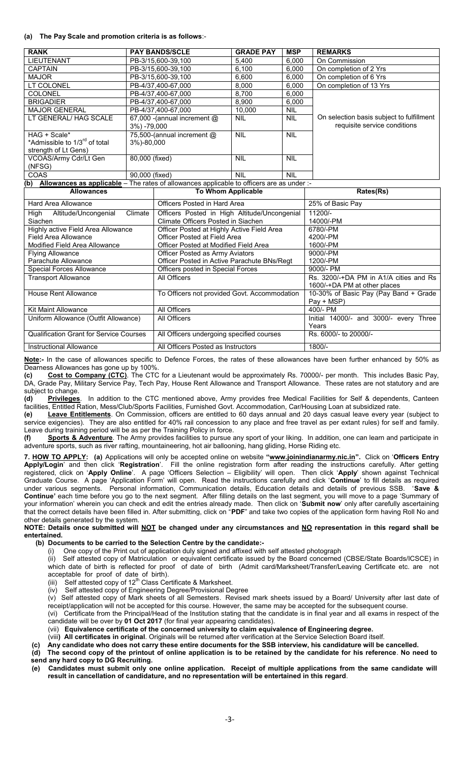### **(a) The Pay Scale and promotion criteria is as follows**:-

| <b>RANK</b>                                                                                      |                 | <b>PAY BANDS/SCLE</b>          | <b>GRADE PAY</b>          | <b>MSP</b> | <b>REMARKS</b>                            |
|--------------------------------------------------------------------------------------------------|-----------------|--------------------------------|---------------------------|------------|-------------------------------------------|
| <b>LIEUTENANT</b>                                                                                |                 | PB-3/15,600-39,100             | 5,400                     | 6,000      | On Commission                             |
| <b>CAPTAIN</b>                                                                                   |                 | PB-3/15.600-39.100             | 6,100                     | 6,000      | On completion of 2 Yrs                    |
| <b>MAJOR</b>                                                                                     |                 | PB-3/15,600-39,100             | 6,600                     | 6,000      | On completion of 6 Yrs                    |
| LT COLONEL                                                                                       |                 | PB-4/37.400-67.000             | 8,000                     | 6,000      | On completion of 13 Yrs                   |
| <b>COLONEL</b>                                                                                   |                 | PB-4/37.400-67.000             | 8.700                     | 6,000      |                                           |
| <b>BRIGADIER</b>                                                                                 |                 | PB-4/37.400-67.000             | 8,900                     | 6,000      |                                           |
| <b>MAJOR GENERAL</b>                                                                             |                 | PB-4/37.400-67.000             | 10,000                    | <b>NIL</b> |                                           |
| LT GENERAL/ HAG SCALE                                                                            |                 | 67,000 - (annual increment $@$ | <b>NIL</b>                | <b>NIL</b> | On selection basis subject to fulfillment |
|                                                                                                  | $3\%$ ) -79,000 |                                |                           |            | requisite service conditions              |
| HAG + Scale*                                                                                     |                 | 75,500-(annual increment @     | <b>NIL</b>                | <b>NIL</b> |                                           |
| *Admissible to 1/3 <sup>rd</sup> of total                                                        | 3%)-80,000      |                                |                           |            |                                           |
| strength of Lt Gens)                                                                             |                 |                                |                           |            |                                           |
| VCOAS/Army Cdr/Lt Gen                                                                            | 80,000 (fixed)  |                                | <b>NIL</b>                | <b>NIL</b> |                                           |
| (NFSG)                                                                                           |                 |                                |                           |            |                                           |
| COAS                                                                                             | 90,000 (fixed)  |                                | <b>NIL</b>                | <b>NIL</b> |                                           |
| Allowances as applicable - The rates of allowances applicable to officers are as under :-<br>(b) |                 |                                |                           |            |                                           |
| <b>Allowances</b>                                                                                |                 |                                | <b>To Whom Applicable</b> |            | Rates(Rs)                                 |

| Allowances                                     | TO WHOM Applicable                           | Rales(RS)                              |
|------------------------------------------------|----------------------------------------------|----------------------------------------|
| Hard Area Allowance                            | Officers Posted in Hard Area                 | 25% of Basic Pay                       |
| Climate<br>Altitude/Uncongenial<br>High        | Officers Posted in High Altitude/Uncongenial | $11200/-$                              |
| Siachen                                        | Climate Officers Posted in Siachen           | 14000/-PM                              |
| Highly active Field Area Allowance             | Officer Posted at Highly Active Field Area   | 6780/-PM                               |
| Field Area Allowance                           | Officer Posted at Field Area                 | 4200/-PM                               |
| Modified Field Area Allowance                  | Officer Posted at Modified Field Area        | 1600/-PM                               |
| <b>Flying Allowance</b>                        | Officer Posted as Army Aviators              | 9000/-PM                               |
| Parachute Allowance                            | Officer Posted in Active Parachute BNs/Regt  | 1200/-PM                               |
| Special Forces Allowance                       | Officers posted in Special Forces            | 9000/- PM                              |
| <b>Transport Allowance</b>                     | All Officers                                 | Rs. 3200/-+DA PM in A1/A cities and Rs |
|                                                |                                              | 1600/-+DA PM at other places           |
| House Rent Allowance                           | To Officers not provided Govt. Accommodation | 10-30% of Basic Pay (Pay Band + Grade  |
|                                                |                                              | Pay + MSP)                             |
| Kit Maint Allowance                            | All Officers                                 | 400/- PM                               |
| Uniform Allowance (Outfit Allowance)           | All Officers                                 | Initial 14000/- and 3000/- every Three |
|                                                |                                              | Years                                  |
| <b>Qualification Grant for Service Courses</b> | All Officers undergoing specified courses    | Rs. 6000/- to 20000/-                  |
| <b>Instructional Allowance</b>                 | All Officers Posted as Instructors           | 1800/-                                 |

**Note:-** In the case of allowances specific to Defence Forces, the rates of these allowances have been further enhanced by 50% as Dearness Allowances has gone up by 100%.

**(c) Cost to Company (CTC)**. The CTC for a Lieutenant would be approximately Rs. 70000/- per month. This includes Basic Pay, DA, Grade Pay, Military Service Pay, Tech Pay, House Rent Allowance and Transport Allowance. These rates are not statutory and are subject to change.<br>(d) Privileges.

In addition to the CTC mentioned above, Army provides free Medical Facilities for Self & dependents, Canteen facilities, Entitled Ration, Mess/Club/Sports Facilities, Furnished Govt. Accommodation, Car/Housing Loan at subsidized rate.

**(e) Leave Entitlements**. On Commission, officers are entitled to 60 days annual and 20 days casual leave every year (subject to service exigencies). They are also entitled for 40% rail concession to any place and free travel as per extant rules) for self and family. Leave during training period will be as per the Training Policy in force.

**(f) Sports & Adventure**. The Army provides facilities to pursue any sport of your liking. In addition, one can learn and participate in adventure sports, such as river rafting, mountaineering, hot air ballooning, hang gliding, Horse Riding etc.

**7. HOW TO APPLY: (a)** Applications will only be accepted online on website **"www.joinindianarmy.nic.in".** Click on '**Officers Entry Apply/Login**' and then click '**Registration**'. Fill the online registration form after reading the instructions carefully. After getting registered, click on '**Apply Online**'. A page 'Officers Selection – Eligibility' will open. Then click '**Apply**' shown against Technical Graduate Course. A page 'Application Form' will open. Read the instructions carefully and click '**Continue**' to fill details as required under various segments. Personal information, Communication details, Education details and details of previous SSB. '**Save & Continue'** each time before you go to the next segment. After filling details on the last segment, you will move to a page 'Summary of your information' wherein you can check and edit the entries already made. Then click on '**Submit now**' only after carefully ascertaining that the correct details have been filled in. After submitting, click on "**PDF**" and take two copies of the application form having Roll No and other details generated by the system.

**NOTE: Details once submitted will NOT be changed under any circumstances and NO representation in this regard shall be entertained.**

# **(b) Documents to be carried to the Selection Centre by the candidate:-**

One copy of the Print out of application duly signed and affixed with self attested photograph

(ii) Self attested copy of Matriculation or equivalent certificate issued by the Board concerned (CBSE/State Boards/ICSCE) in which date of birth is reflected for proof of date of birth (Admit card/Marksheet/Transfer/Leaving Certificate etc. are not acceptable for proof of date of birth).

(iii) Self attested copy of  $12<sup>th</sup>$  Class Certificate & Marksheet.

(iv) Self attested copy of Engineering Degree/Provisional Degree

(v) Self attested copy of Mark sheets of all Semesters. Revised mark sheets issued by a Board/ University after last date of receipt/application will not be accepted for this course. However, the same may be accepted for the subsequent course.

(vi) Certificate from the Principal/Head of the Institution stating that the candidate is in final year and all exams in respect of the candidate will be over by **01 Oct 2017** (for final year appearing candidates).

(vii) **Equivalence certificate of the concerned university to claim equivalence of Engineering degree.**

(viii**) All certificates in original**. Originals will be returned after verification at the Service Selection Board itself.

 **(c) Any candidate who does not carry these entire documents for the SSB interview, his candidature will be cancelled.**

 **(d) The second copy of the printout of online application is to be retained by the candidate for his reference**. **No need to send any hard copy to DG Recruiting.**

 **(e) Candidates must submit only one online application. Receipt of multiple applications from the same candidate will result in cancellation of candidature, and no representation will be entertained in this regard**.